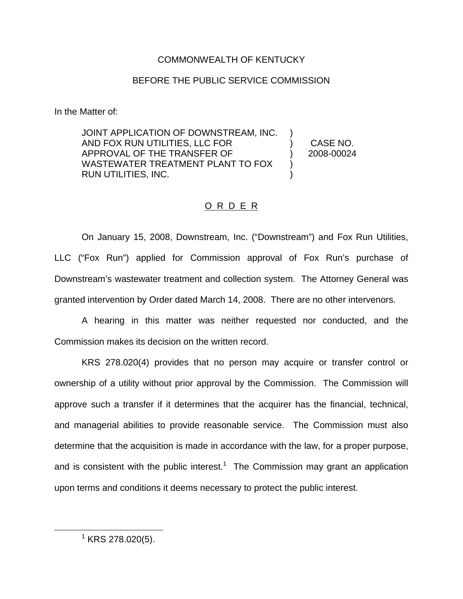### COMMONWEALTH OF KENTUCKY

## BEFORE THE PUBLIC SERVICE COMMISSION

In the Matter of:

JOINT APPLICATION OF DOWNSTREAM, INC. AND FOX RUN UTILITIES, LLC FOR APPROVAL OF THE TRANSFER OF WASTEWATER TREATMENT PLANT TO FOX RUN UTILITIES, INC. ) ) CASE NO. ) 2008-00024 ) )

# O R D E R

On January 15, 2008, Downstream, Inc. ("Downstream") and Fox Run Utilities, LLC ("Fox Run") applied for Commission approval of Fox Run's purchase of Downstream's wastewater treatment and collection system. The Attorney General was granted intervention by Order dated March 14, 2008. There are no other intervenors.

A hearing in this matter was neither requested nor conducted, and the Commission makes its decision on the written record.

KRS 278.020(4) provides that no person may acquire or transfer control or ownership of a utility without prior approval by the Commission. The Commission will approve such a transfer if it determines that the acquirer has the financial, technical, and managerial abilities to provide reasonable service. The Commission must also determine that the acquisition is made in accordance with the law, for a proper purpose, and is consistent with the public interest.<sup>1</sup> The Commission may grant an application upon terms and conditions it deems necessary to protect the public interest.

 $1$  KRS 278.020(5).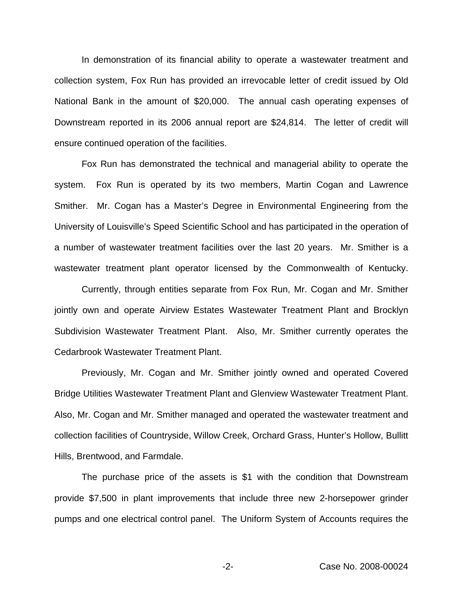In demonstration of its financial ability to operate a wastewater treatment and collection system, Fox Run has provided an irrevocable letter of credit issued by Old National Bank in the amount of \$20,000. The annual cash operating expenses of Downstream reported in its 2006 annual report are \$24,814. The letter of credit will ensure continued operation of the facilities.

Fox Run has demonstrated the technical and managerial ability to operate the system. Fox Run is operated by its two members, Martin Cogan and Lawrence Smither. Mr. Cogan has a Master's Degree in Environmental Engineering from the University of Louisville's Speed Scientific School and has participated in the operation of a number of wastewater treatment facilities over the last 20 years. Mr. Smither is a wastewater treatment plant operator licensed by the Commonwealth of Kentucky.

Currently, through entities separate from Fox Run, Mr. Cogan and Mr. Smither jointly own and operate Airview Estates Wastewater Treatment Plant and Brocklyn Subdivision Wastewater Treatment Plant. Also, Mr. Smither currently operates the Cedarbrook Wastewater Treatment Plant.

Previously, Mr. Cogan and Mr. Smither jointly owned and operated Covered Bridge Utilities Wastewater Treatment Plant and Glenview Wastewater Treatment Plant. Also, Mr. Cogan and Mr. Smither managed and operated the wastewater treatment and collection facilities of Countryside, Willow Creek, Orchard Grass, Hunter's Hollow, Bullitt Hills, Brentwood, and Farmdale.

The purchase price of the assets is \$1 with the condition that Downstream provide \$7,500 in plant improvements that include three new 2-horsepower grinder pumps and one electrical control panel. The Uniform System of Accounts requires the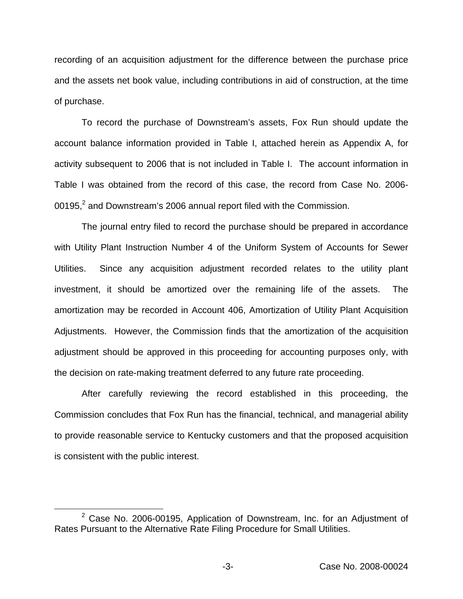recording of an acquisition adjustment for the difference between the purchase price and the assets net book value, including contributions in aid of construction, at the time of purchase.

To record the purchase of Downstream's assets, Fox Run should update the account balance information provided in Table I, attached herein as Appendix A, for activity subsequent to 2006 that is not included in Table I. The account information in Table I was obtained from the record of this case, the record from Case No. 2006- 00195,<sup>2</sup> and Downstream's 2006 annual report filed with the Commission.

The journal entry filed to record the purchase should be prepared in accordance with Utility Plant Instruction Number 4 of the Uniform System of Accounts for Sewer Utilities. Since any acquisition adjustment recorded relates to the utility plant investment, it should be amortized over the remaining life of the assets. The amortization may be recorded in Account 406, Amortization of Utility Plant Acquisition Adjustments. However, the Commission finds that the amortization of the acquisition adjustment should be approved in this proceeding for accounting purposes only, with the decision on rate-making treatment deferred to any future rate proceeding.

After carefully reviewing the record established in this proceeding, the Commission concludes that Fox Run has the financial, technical, and managerial ability to provide reasonable service to Kentucky customers and that the proposed acquisition is consistent with the public interest.

 $2$  Case No. 2006-00195, Application of Downstream, Inc. for an Adjustment of Rates Pursuant to the Alternative Rate Filing Procedure for Small Utilities.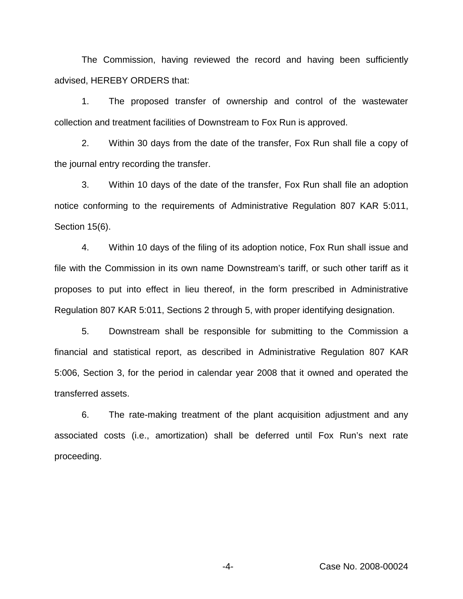The Commission, having reviewed the record and having been sufficiently advised, HEREBY ORDERS that:

1. The proposed transfer of ownership and control of the wastewater collection and treatment facilities of Downstream to Fox Run is approved.

2. Within 30 days from the date of the transfer, Fox Run shall file a copy of the journal entry recording the transfer.

3. Within 10 days of the date of the transfer, Fox Run shall file an adoption notice conforming to the requirements of Administrative Regulation 807 KAR 5:011, Section 15(6).

4. Within 10 days of the filing of its adoption notice, Fox Run shall issue and file with the Commission in its own name Downstream's tariff, or such other tariff as it proposes to put into effect in lieu thereof, in the form prescribed in Administrative Regulation 807 KAR 5:011, Sections 2 through 5, with proper identifying designation.

5. Downstream shall be responsible for submitting to the Commission a financial and statistical report, as described in Administrative Regulation 807 KAR 5:006, Section 3, for the period in calendar year 2008 that it owned and operated the transferred assets.

6. The rate-making treatment of the plant acquisition adjustment and any associated costs (i.e., amortization) shall be deferred until Fox Run's next rate proceeding.

-4- Case No. 2008-00024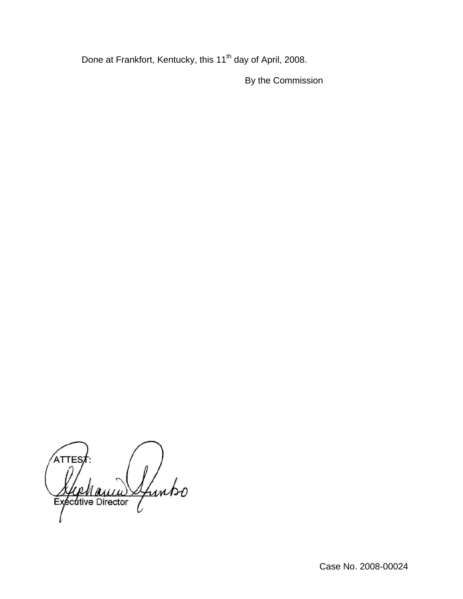Done at Frankfort, Kentucky, this 11<sup>th</sup> day of April, 2008.

By the Commission

ATTE: Ifunko Executive Director